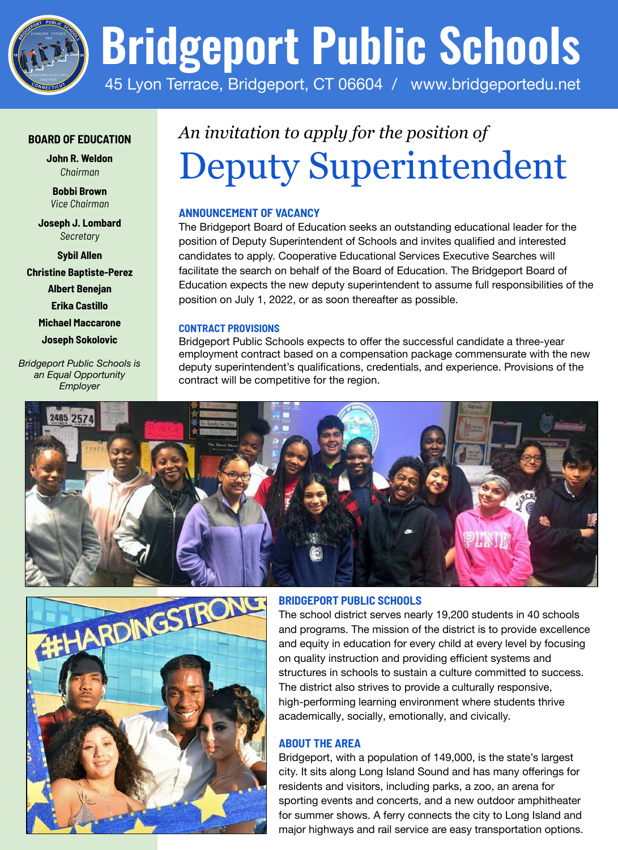

### **BOARD OF EDUCATION**

**John R. Weldon** *Chairman*

**Bobbi Brown** *Vice Chairman*

**Joseph J. Lombard** *Secretary*

**Sybil Allen Christine Baptiste-Perez Albert Benejan Erika Castillo Michael Maccarone Joseph Sokolovic**

*Bridgeport Public Schools is an Equal Opportunity Employer*

# *An invitation to apply for the position of* Deputy Superintendent

# **ANNOUNCEMENT OF VACANCY**

The Bridgeport Board of Education seeks an outstanding educational leader for the position of Deputy Superintendent of Schools and invites qualified and interested candidates to apply. Cooperative Educational Services Executive Searches will facilitate the search on behalf of the Board of Education. The Bridgeport Board of Education expects the new deputy superintendent to assume full responsibilities of the position on July 1, 2022, or as soon thereafter as possible.

#### **CONTRACT PROVISIONS**

Bridgeport Public Schools expects to offer the successful candidate a three-year employment contract based on a compensation package commensurate with the new deputy superintendent's qualifications, credentials, and experience. Provisions of the contract will be competitive for the region.





#### **BRIDGEPORT PUBLIC SCHOOLS**

The school district serves nearly 19,200 students in 40 schools and programs. The mission of the district is to provide excellence and equity in education for every child at every level by focusing on quality instruction and providing efficient systems and structures in schools to sustain a culture committed to success. The district also strives to provide a culturally responsive, high-performing learning environment where students thrive academically, socially, emotionally, and civically.

## **ABOUT THE AREA**

Bridgeport, with a population of 149,000, is the state's largest city. It sits along Long Island Sound and has many offerings for residents and visitors, including parks, a zoo, an arena for sporting events and concerts, and a new outdoor amphitheater for summer shows. A ferry connects the city to Long Island and major highways and rail service are easy transportation options.